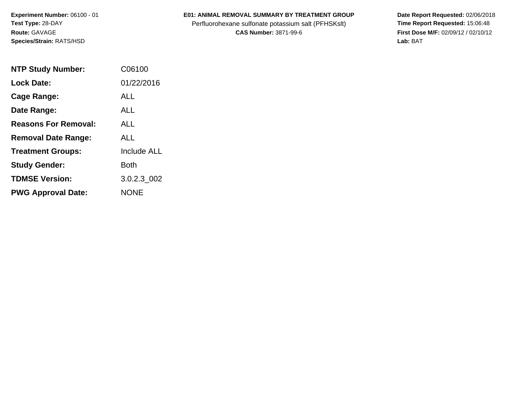**Experiment Number:** 06100 - 01**Test Type:** 28-DAY**Route:** GAVAGE**Species/Strain:** RATS/HSD

## **E01: ANIMAL REMOVAL SUMMARY BY TREATMENT GROUP**

Perfluorohexane sulfonate potassium salt (PFHSKslt)<br>**CAS Number:** 3871-99-6

 **Date Report Requested:** 02/06/2018 **First Dose M/F:** 02/09/12 / 02/10/12<br>Lab: BAT **Lab:** BAT

| <b>NTP Study Number:</b>    | C06100             |
|-----------------------------|--------------------|
| <b>Lock Date:</b>           | 01/22/2016         |
| Cage Range:                 | ALL                |
| Date Range:                 | AI I               |
| <b>Reasons For Removal:</b> | ALL.               |
| <b>Removal Date Range:</b>  | ALL                |
| <b>Treatment Groups:</b>    | <b>Include ALL</b> |
| <b>Study Gender:</b>        | <b>Both</b>        |
| <b>TDMSE Version:</b>       | 3.0.2.3 002        |
| <b>PWG Approval Date:</b>   | <b>NONE</b>        |